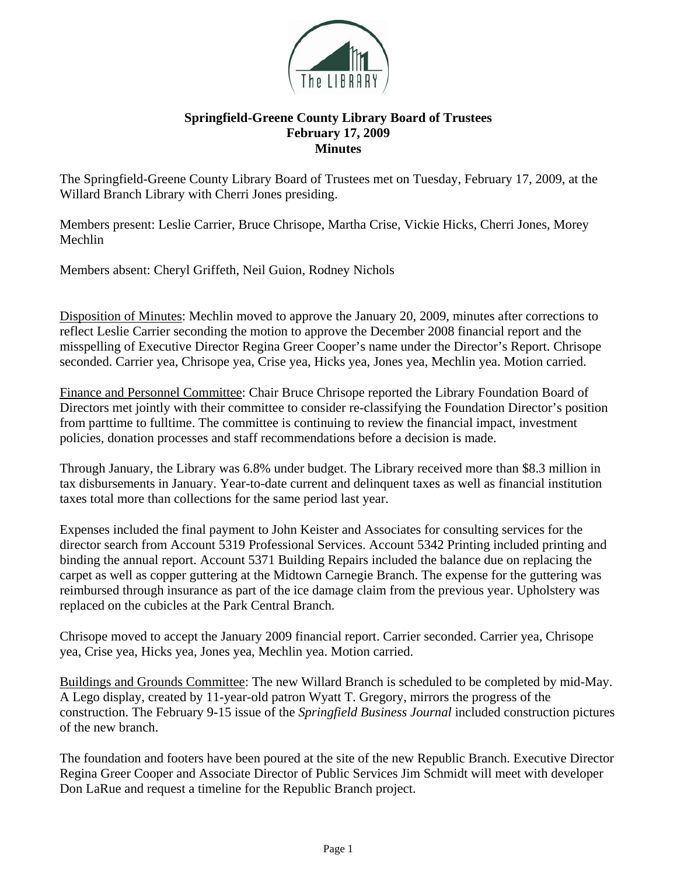

## **Springfield-Greene County Library Board of Trustees February 17, 2009 Minutes**

The Springfield-Greene County Library Board of Trustees met on Tuesday, February 17, 2009, at the Willard Branch Library with Cherri Jones presiding.

Members present: Leslie Carrier, Bruce Chrisope, Martha Crise, Vickie Hicks, Cherri Jones, Morey Mechlin

Members absent: Cheryl Griffeth, Neil Guion, Rodney Nichols

Disposition of Minutes: Mechlin moved to approve the January 20, 2009, minutes after corrections to reflect Leslie Carrier seconding the motion to approve the December 2008 financial report and the misspelling of Executive Director Regina Greer Cooper's name under the Director's Report. Chrisope seconded. Carrier yea, Chrisope yea, Crise yea, Hicks yea, Jones yea, Mechlin yea. Motion carried.

Finance and Personnel Committee: Chair Bruce Chrisope reported the Library Foundation Board of Directors met jointly with their committee to consider re-classifying the Foundation Director's position from parttime to fulltime. The committee is continuing to review the financial impact, investment policies, donation processes and staff recommendations before a decision is made.

Through January, the Library was 6.8% under budget. The Library received more than \$8.3 million in tax disbursements in January. Year-to-date current and delinquent taxes as well as financial institution taxes total more than collections for the same period last year.

Expenses included the final payment to John Keister and Associates for consulting services for the director search from Account 5319 Professional Services. Account 5342 Printing included printing and binding the annual report. Account 5371 Building Repairs included the balance due on replacing the carpet as well as copper guttering at the Midtown Carnegie Branch. The expense for the guttering was reimbursed through insurance as part of the ice damage claim from the previous year. Upholstery was replaced on the cubicles at the Park Central Branch.

Chrisope moved to accept the January 2009 financial report. Carrier seconded. Carrier yea, Chrisope yea, Crise yea, Hicks yea, Jones yea, Mechlin yea. Motion carried.

Buildings and Grounds Committee: The new Willard Branch is scheduled to be completed by mid-May. A Lego display, created by 11-year-old patron Wyatt T. Gregory, mirrors the progress of the construction. The February 9-15 issue of the *Springfield Business Journal* included construction pictures of the new branch.

The foundation and footers have been poured at the site of the new Republic Branch. Executive Director Regina Greer Cooper and Associate Director of Public Services Jim Schmidt will meet with developer Don LaRue and request a timeline for the Republic Branch project.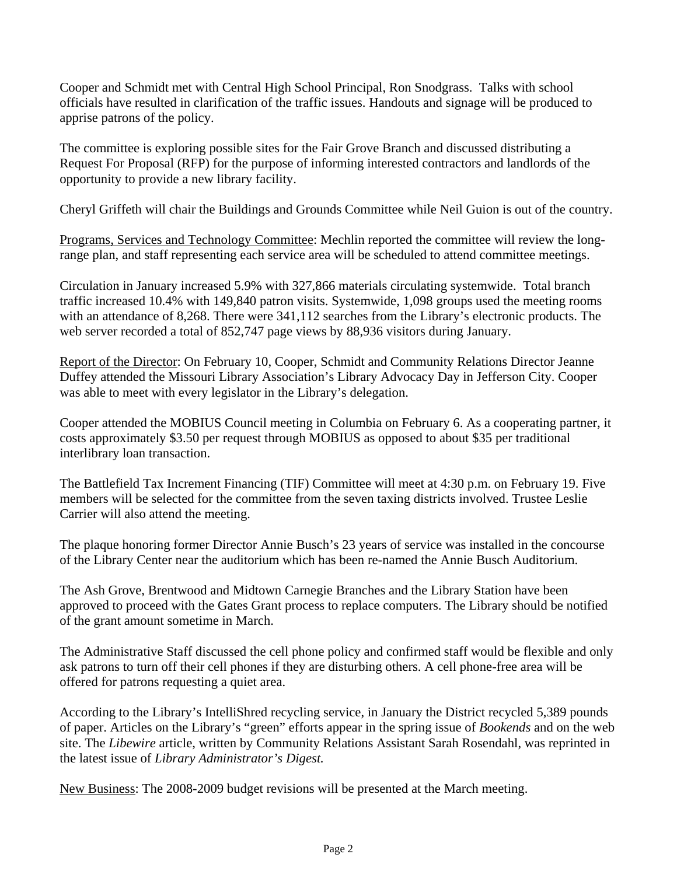Cooper and Schmidt met with Central High School Principal, Ron Snodgrass. Talks with school officials have resulted in clarification of the traffic issues. Handouts and signage will be produced to apprise patrons of the policy.

The committee is exploring possible sites for the Fair Grove Branch and discussed distributing a Request For Proposal (RFP) for the purpose of informing interested contractors and landlords of the opportunity to provide a new library facility.

Cheryl Griffeth will chair the Buildings and Grounds Committee while Neil Guion is out of the country.

Programs, Services and Technology Committee: Mechlin reported the committee will review the longrange plan, and staff representing each service area will be scheduled to attend committee meetings.

Circulation in January increased 5.9% with 327,866 materials circulating systemwide. Total branch traffic increased 10.4% with 149,840 patron visits. Systemwide, 1,098 groups used the meeting rooms with an attendance of 8,268. There were 341,112 searches from the Library's electronic products. The web server recorded a total of 852,747 page views by 88,936 visitors during January.

Report of the Director: On February 10, Cooper, Schmidt and Community Relations Director Jeanne Duffey attended the Missouri Library Association's Library Advocacy Day in Jefferson City. Cooper was able to meet with every legislator in the Library's delegation.

Cooper attended the MOBIUS Council meeting in Columbia on February 6. As a cooperating partner, it costs approximately \$3.50 per request through MOBIUS as opposed to about \$35 per traditional interlibrary loan transaction.

The Battlefield Tax Increment Financing (TIF) Committee will meet at 4:30 p.m. on February 19. Five members will be selected for the committee from the seven taxing districts involved. Trustee Leslie Carrier will also attend the meeting.

The plaque honoring former Director Annie Busch's 23 years of service was installed in the concourse of the Library Center near the auditorium which has been re-named the Annie Busch Auditorium.

The Ash Grove, Brentwood and Midtown Carnegie Branches and the Library Station have been approved to proceed with the Gates Grant process to replace computers. The Library should be notified of the grant amount sometime in March.

The Administrative Staff discussed the cell phone policy and confirmed staff would be flexible and only ask patrons to turn off their cell phones if they are disturbing others. A cell phone-free area will be offered for patrons requesting a quiet area.

According to the Library's IntelliShred recycling service, in January the District recycled 5,389 pounds of paper. Articles on the Library's "green" efforts appear in the spring issue of *Bookends* and on the web site. The *Libewire* article, written by Community Relations Assistant Sarah Rosendahl, was reprinted in the latest issue of *Library Administrator's Digest.*

New Business: The 2008-2009 budget revisions will be presented at the March meeting.